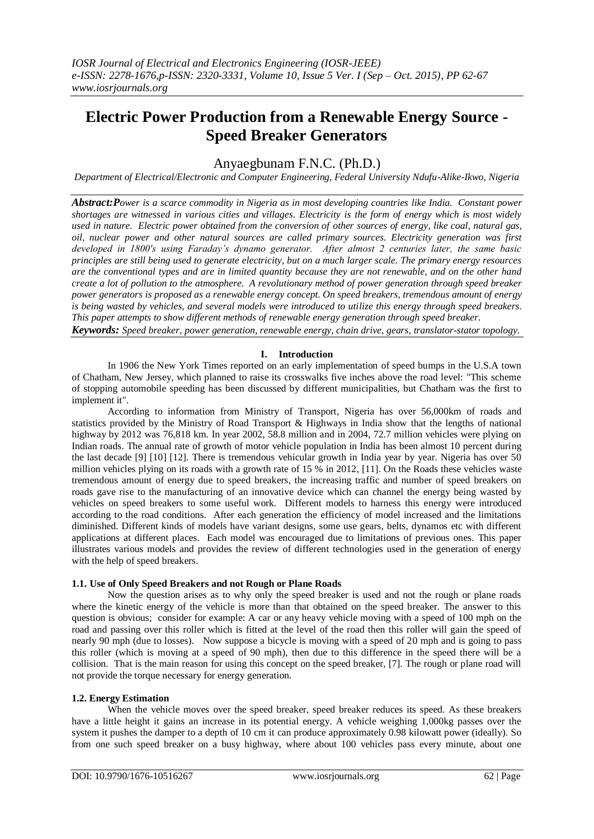# **Electric Power Production from a Renewable Energy Source - Speed Breaker Generators**

## Anyaegbunam F.N.C. (Ph.D.)

*Department of Electrical/Electronic and Computer Engineering, Federal University Ndufu-Alike-Ikwo, Nigeria*

*Abstract:Power is a scarce commodity in Nigeria as in most developing countries like India. Constant power shortages are witnessed in various cities and villages. Electricity is the form of energy which is most widely used in nature. Electric power obtained from the conversion of other sources of energy, like coal, natural gas, oil, nuclear power and other natural sources are called primary sources. Electricity generation was first developed in 1800's using Faraday's dynamo generator. After almost 2 centuries later, the same basic principles are still being used to generate electricity, but on a much larger scale. The primary energy resources are the conventional types and are in limited quantity because they are not renewable, and on the other hand create a lot of pollution to the atmosphere. A revolutionary method of power generation through speed breaker power generators is proposed as a renewable energy concept. On speed breakers, tremendous amount of energy is being wasted by vehicles, and several models were introduced to utilize this energy through speed breakers. This paper attempts to show different methods of renewable energy generation through speed breaker.*

*Keywords: Speed breaker, power generation, renewable energy, chain drive, gears, translator-stator topology.*

## **I. Introduction**

In 1906 the New York Times reported on an early implementation of speed bumps in the U.S.A town of Chatham, New Jersey, which planned to raise its crosswalks five inches above the road level: "This scheme of stopping automobile speeding has been discussed by different municipalities, but Chatham was the first to implement it".

According to information from Ministry of Transport, Nigeria has over 56,000km of roads and statistics provided by the Ministry of Road Transport & Highways in India show that the lengths of national highway by 2012 was 76,818 km. In year 2002, 58.8 million and in 2004, 72.7 million vehicles were plying on Indian roads. The annual rate of growth of motor vehicle population in India has been almost 10 percent during the last decade [9] [10] [12]. There is tremendous vehicular growth in India year by year. Nigeria has over 50 million vehicles plying on its roads with a growth rate of 15 % in 2012, [11]. On the Roads these vehicles waste tremendous amount of energy due to speed breakers, the increasing traffic and number of speed breakers on roads gave rise to the manufacturing of an innovative device which can channel the energy being wasted by vehicles on speed breakers to some useful work. Different models to harness this energy were introduced according to the road conditions. After each generation the efficiency of model increased and the limitations diminished. Different kinds of models have variant designs, some use gears, belts, dynamos etc with different applications at different places. Each model was encouraged due to limitations of previous ones. This paper illustrates various models and provides the review of different technologies used in the generation of energy with the help of speed breakers.

## **1.1. Use of Only Speed Breakers and not Rough or Plane Roads**

Now the question arises as to why only the speed breaker is used and not the rough or plane roads where the kinetic energy of the vehicle is more than that obtained on the speed breaker. The answer to this question is obvious; consider for example: A car or any heavy vehicle moving with a speed of 100 mph on the road and passing over this roller which is fitted at the level of the road then this roller will gain the speed of nearly 90 mph (due to losses). Now suppose a bicycle is moving with a speed of 20 mph and is going to pass this roller (which is moving at a speed of 90 mph), then due to this difference in the speed there will be a collision. That is the main reason for using this concept on the speed breaker, [7]. The rough or plane road will not provide the torque necessary for energy generation.

## **1.2. Energy Estimation**

When the vehicle moves over the speed breaker, speed breaker reduces its speed. As these breakers have a little height it gains an increase in its potential energy. A vehicle weighing 1,000kg passes over the system it pushes the damper to a depth of 10 cm it can produce approximately 0.98 kilowatt power (ideally). So from one such speed breaker on a busy highway, where about 100 vehicles pass every minute, about one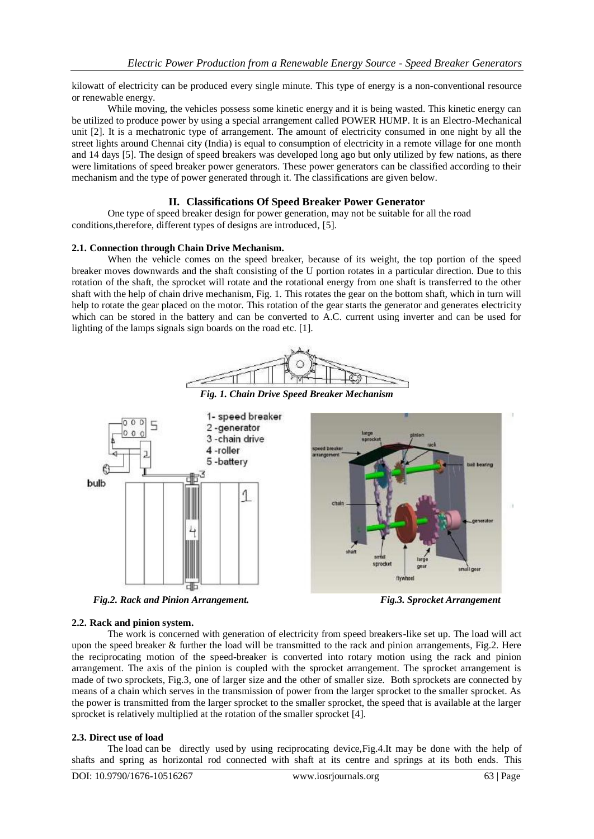kilowatt of electricity can be produced every single minute. This type of energy is a non-conventional resource or renewable energy.

While moving, the vehicles possess some kinetic energy and it is being wasted. This kinetic energy can be utilized to produce power by using a special arrangement called POWER HUMP. It is an Electro-Mechanical unit [2]. It is a mechatronic type of arrangement. The amount of electricity consumed in one night by all the street lights around Chennai city (India) is equal to consumption of electricity in a remote village for one month and 14 days [5]. The design of speed breakers was developed long ago but only utilized by few nations, as there were limitations of speed breaker power generators. These power generators can be classified according to their mechanism and the type of power generated through it. The classifications are given below.

## **II. Classifications Of Speed Breaker Power Generator**

One type of speed breaker design for power generation, may not be suitable for all the road conditions,therefore, different types of designs are introduced, [5].

## **2.1. Connection through Chain Drive Mechanism.**

When the vehicle comes on the speed breaker, because of its weight, the top portion of the speed breaker moves downwards and the shaft consisting of the U portion rotates in a particular direction. Due to this rotation of the shaft, the sprocket will rotate and the rotational energy from one shaft is transferred to the other shaft with the help of chain drive mechanism, Fig. 1. This rotates the gear on the bottom shaft, which in turn will help to rotate the gear placed on the motor. This rotation of the gear starts the generator and generates electricity which can be stored in the battery and can be converted to A.C. current using inverter and can be used for lighting of the lamps signals sign boards on the road etc. [1].





*Fig.2. Rack and Pinion Arrangement. Fig.3. Sprocket Arrangement*

## **2.2. Rack and pinion system.**

The work is concerned with generation of electricity from speed breakers-like set up. The load will act upon the speed breaker & further the load will be transmitted to the rack and pinion arrangements, Fig.2. Here the reciprocating motion of the speed-breaker is converted into rotary motion using the rack and pinion arrangement. The axis of the pinion is coupled with the sprocket arrangement. The sprocket arrangement is made of two sprockets, Fig.3, one of larger size and the other of smaller size. Both sprockets are connected by means of a chain which serves in the transmission of power from the larger sprocket to the smaller sprocket. As the power is transmitted from the larger sprocket to the smaller sprocket, the speed that is available at the larger sprocket is relatively multiplied at the rotation of the smaller sprocket [4].

## **2.3. Direct use of load**

The load can be directly used by using reciprocating device,Fig.4.It may be done with the help of shafts and spring as horizontal rod connected with shaft at its centre and springs at its both ends. This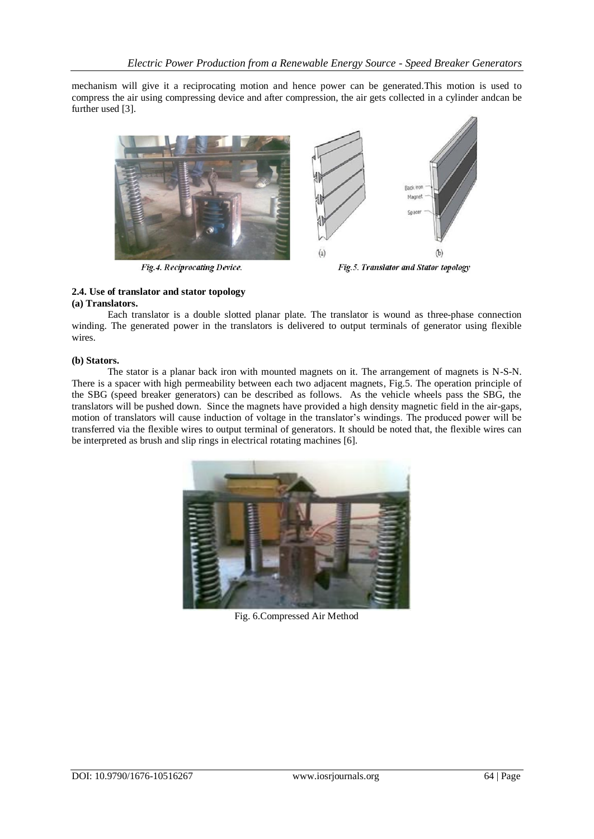mechanism will give it a reciprocating motion and hence power can be generated.This motion is used to compress the air using compressing device and after compression, the air gets collected in a cylinder andcan be further used [3].



#### **2.4. Use of translator and stator topology (a) Translators.**

Each translator is a double slotted planar plate. The translator is wound as three-phase connection winding. The generated power in the translators is delivered to output terminals of generator using flexible wires.

## **(b) Stators.**

The stator is a planar back iron with mounted magnets on it. The arrangement of magnets is N-S-N. There is a spacer with high permeability between each two adjacent magnets, Fig.5. The operation principle of the SBG (speed breaker generators) can be described as follows. As the vehicle wheels pass the SBG, the translators will be pushed down. Since the magnets have provided a high density magnetic field in the air-gaps, motion of translators will cause induction of voltage in the translator's windings. The produced power will be transferred via the flexible wires to output terminal of generators. It should be noted that, the flexible wires can be interpreted as brush and slip rings in electrical rotating machines [6].



Fig. 6.Compressed Air Method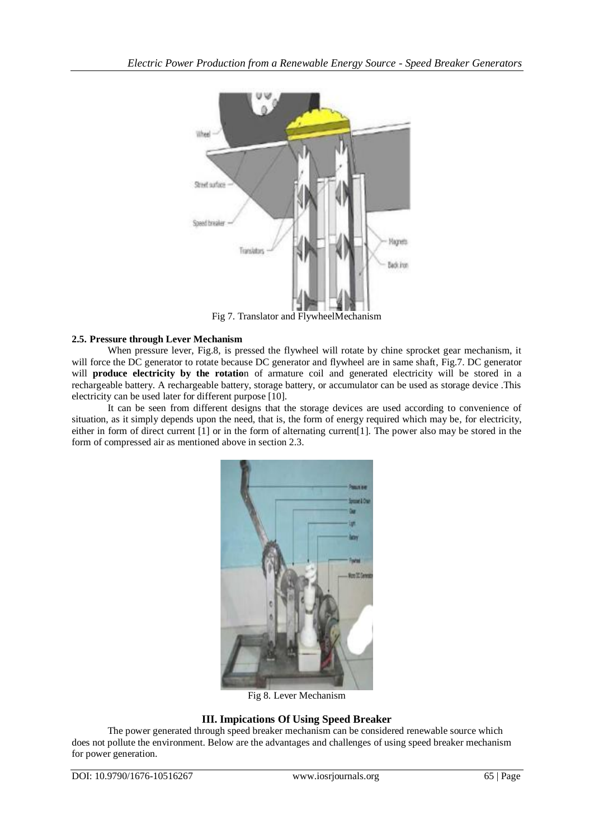

Fig 7. Translator and FlywheelMechanism

## **2.5. Pressure through Lever Mechanism**

When pressure lever, Fig.8, is pressed the flywheel will rotate by chine sprocket gear mechanism, it will force the DC generator to rotate because DC generator and flywheel are in same shaft, Fig.7. DC generator will **produce electricity by the rotatio**n of armature coil and generated electricity will be stored in a rechargeable battery. A rechargeable battery, storage battery, or accumulator can be used as storage device .This electricity can be used later for different purpose [10].

It can be seen from different designs that the storage devices are used according to convenience of situation, as it simply depends upon the need, that is, the form of energy required which may be, for electricity, either in form of direct current [1] or in the form of alternating current[1]. The power also may be stored in the form of compressed air as mentioned above in section 2.3.



Fig 8. Lever Mechanism

## **III. Impications Of Using Speed Breaker**

The power generated through speed breaker mechanism can be considered renewable source which does not pollute the environment. Below are the advantages and challenges of using speed breaker mechanism for power generation.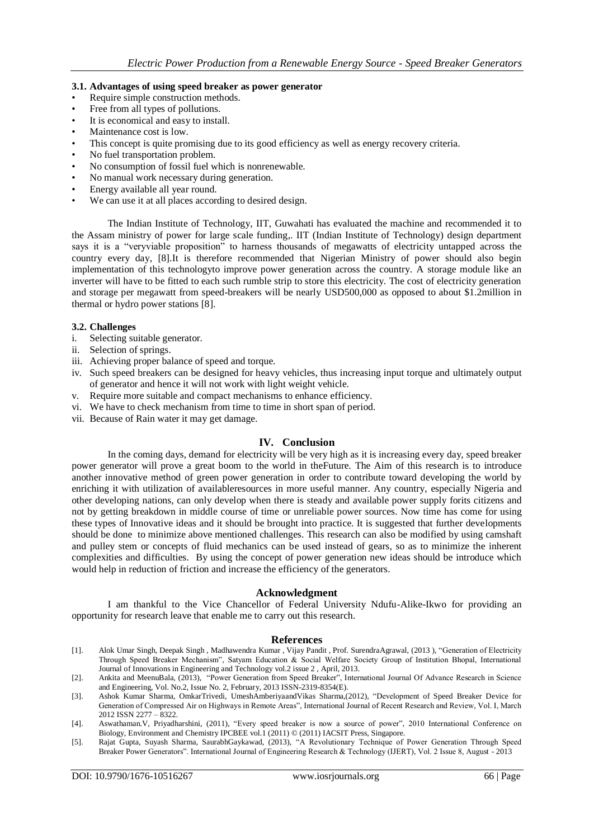## **3.1. Advantages of using speed breaker as power generator**

- Require simple construction methods.
- Free from all types of pollutions.
- It is economical and easy to install.
- Maintenance cost is low.
- This concept is quite promising due to its good efficiency as well as energy recovery criteria.
- No fuel transportation problem.
- No consumption of fossil fuel which is nonrenewable.
- No manual work necessary during generation.
- Energy available all year round.
- We can use it at all places according to desired design.

The Indian Institute of Technology, IIT, Guwahati has evaluated the machine and recommended it to the Assam ministry of power for large scale funding,. IIT (Indian Institute of Technology) design department says it is a "veryviable proposition" to harness thousands of megawatts of electricity untapped across the country every day, [8].It is therefore recommended that Nigerian Ministry of power should also begin implementation of this technologyto improve power generation across the country. A storage module like an inverter will have to be fitted to each such rumble strip to store this electricity. The cost of electricity generation and storage per megawatt from speed-breakers will be nearly USD500,000 as opposed to about \$1.2million in thermal or hydro power stations [8].

## **3.2. Challenges**

- i. Selecting suitable generator.
- ii. Selection of springs.
- iii. Achieving proper balance of speed and torque.
- iv. Such speed breakers can be designed for heavy vehicles, thus increasing input torque and ultimately output of generator and hence it will not work with light weight vehicle.
- v. Require more suitable and compact mechanisms to enhance efficiency.
- vi. We have to check mechanism from time to time in short span of period.
- vii. Because of Rain water it may get damage.

## **IV. Conclusion**

In the coming days, demand for electricity will be very high as it is increasing every day, speed breaker power generator will prove a great boom to the world in theFuture. The Aim of this research is to introduce another innovative method of green power generation in order to contribute toward developing the world by enriching it with utilization of availableresources in more useful manner. Any country, especially Nigeria and other developing nations, can only develop when there is steady and available power supply forits citizens and not by getting breakdown in middle course of time or unreliable power sources. Now time has come for using these types of Innovative ideas and it should be brought into practice. It is suggested that further developments should be done to minimize above mentioned challenges. This research can also be modified by using camshaft and pulley stem or concepts of fluid mechanics can be used instead of gears, so as to minimize the inherent complexities and difficulties. By using the concept of power generation new ideas should be introduce which would help in reduction of friction and increase the efficiency of the generators.

## **Acknowledgment**

I am thankful to the Vice Chancellor of Federal University Ndufu-Alike-Ikwo for providing an opportunity for research leave that enable me to carry out this research.

## **References**

- [1]. Alok Umar Singh, Deepak Singh , Madhawendra Kumar , Vijay Pandit , Prof. SurendraAgrawal, (2013 ), "Generation of Electricity Through Speed Breaker Mechanism", Satyam Education & Social Welfare Society Group of Institution Bhopal, International Journal of Innovations in Engineering and Technology vol.2 issue 2 , April, 2013.
- [2]. Ankita and MeenuBala, (2013), "Power Generation from Speed Breaker", International Journal Of Advance Research in Science and Engineering, Vol. No.2, Issue No. 2, February, 2013 ISSN-2319-8354(E).
- [3]. Ashok Kumar Sharma, OmkarTrivedi, UmeshAmberiyaandVikas Sharma,(2012), "Development of Speed Breaker Device for Generation of Compressed Air on Highways in Remote Areas", International Journal of Recent Research and Review, Vol. I, March 2012 ISSN 2277 – 8322.
- [4]. Aswathaman.V, Priyadharshini, (2011), "Every speed breaker is now a source of power", 2010 International Conference on Biology, Environment and Chemistry IPCBEE vol.1 (2011) © (2011) IACSIT Press, Singapore.
- [5]. Rajat Gupta, Suyash Sharma, SaurabhGaykawad, (2013), "A Revolutionary Technique of Power Generation Through Speed Breaker Power Generators". International Journal of Engineering Research & Technology (IJERT), Vol. 2 Issue 8, August - 2013